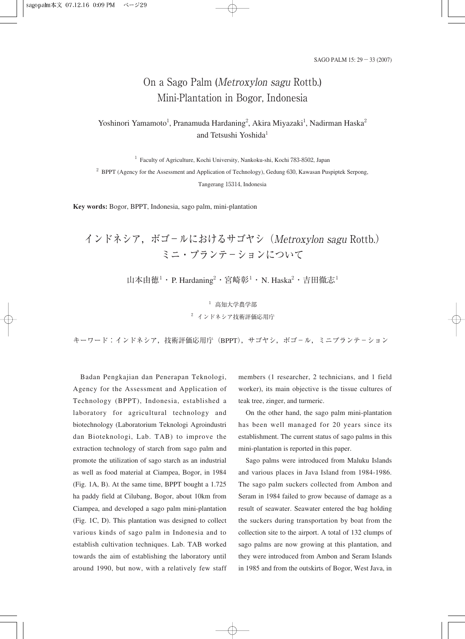# On a Sago Palm (Metroxylon sagu Rottb.) Mini-Plantation in Bogor, Indonesia

## Yoshinori Yamamoto<sup>1</sup>, Pranamuda Hardaning<sup>2</sup>, Akira Miyazaki<sup>1</sup>, Nadirman Haska<sup>2</sup> and Tetsushi Yoshida<sup>1</sup>

<sup>1</sup> Faculty of Agriculture, Kochi University, Nankoku-shi, Kochi 783-8502, Japan <sup>2</sup> BPPT (Agency for the Assessment and Application of Technology), Gedung 630, Kawasan Puspiptek Serpong, Tangerang 15314, Indonesia

**Key words:** Bogor, BPPT, Indonesia, sago palm, mini-plantation

# インドネシア,ボゴ-ルにおけるサゴヤシ(Metroxylon sagu Rottb.) ミニ・プランテ-ションについて

山本由徳<sup>1</sup>・P. Hardaning<sup>2</sup>・宮崎彰<sup>1</sup>・N. Haska<sup>2</sup>・吉田徹志<sup>1</sup>

<sup>1</sup> 高知大学農学部 <sup>2</sup> インドネシア技術評価応用庁

キーワード:インドネシア,技術評価応用庁 (BPPT), サゴヤシ, ボゴール, ミニプランテーション

Badan Pengkajian dan Penerapan Teknologi, Agency for the Assessment and Application of Technology (BPPT), Indonesia, established a laboratory for agricultural technology and biotechnology (Laboratorium Teknologi Agroindustri dan Bioteknologi, Lab. TAB) to improve the extraction technology of starch from sago palm and promote the utilization of sago starch as an industrial as well as food material at Ciampea, Bogor, in 1984 (Fig. 1A, B). At the same time, BPPT bought a 1.725 ha paddy field at Cilubang, Bogor, about 10km from Ciampea, and developed a sago palm mini-plantation (Fig. 1C, D). This plantation was designed to collect various kinds of sago palm in Indonesia and to establish cultivation techniques. Lab. TAB worked towards the aim of establishing the laboratory until around 1990, but now, with a relatively few staff

members (1 researcher, 2 technicians, and 1 field worker), its main objective is the tissue cultures of teak tree, zinger, and turmeric.

On the other hand, the sago palm mini-plantation has been well managed for 20 years since its establishment. The current status of sago palms in this mini-plantation is reported in this paper.

Sago palms were introduced from Maluku Islands and various places in Java Island from 1984-1986. The sago palm suckers collected from Ambon and Seram in 1984 failed to grow because of damage as a result of seawater. Seawater entered the bag holding the suckers during transportation by boat from the collection site to the airport. A total of 132 clumps of sago palms are now growing at this plantation, and they were introduced from Ambon and Seram Islands in 1985 and from the outskirts of Bogor, West Java, in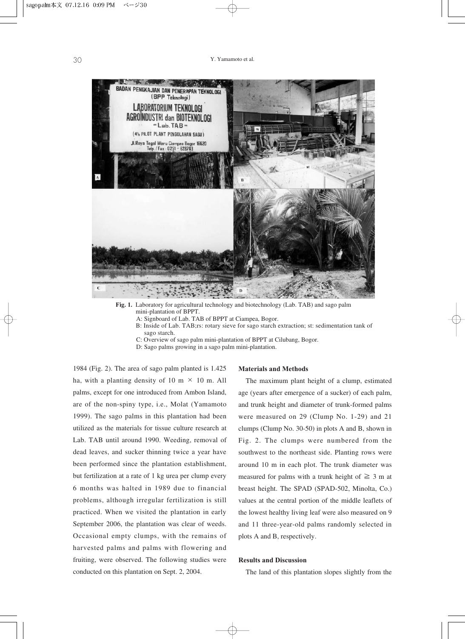

**Fig. 1.** Laboratory for agricultural technology and biotechnology (Lab. TAB) and sago palm mini-plantation of BPPT.

A: Signboard of Lab. TAB of BPPT at Ciampea, Bogor.

B: Inside of Lab. TAB;rs: rotary sieve for sago starch extraction; st: sedimentation tank of sago starch.

C: Overview of sago palm mini-plantation of BPPT at Cilubang, Bogor.

D: Sago palms growing in a sago palm mini-plantation.

1984 (Fig. 2). The area of sago palm planted is 1.425 ha, with a planting density of 10 m  $\times$  10 m. All palms, except for one introduced from Ambon Island, are of the non-spiny type, i.e., Molat (Yamamoto 1999). The sago palms in this plantation had been utilized as the materials for tissue culture research at Lab. TAB until around 1990. Weeding, removal of dead leaves, and sucker thinning twice a year have been performed since the plantation establishment, but fertilization at a rate of 1 kg urea per clump every 6 months was halted in 1989 due to financial problems, although irregular fertilization is still practiced. When we visited the plantation in early September 2006, the plantation was clear of weeds. Occasional empty clumps, with the remains of harvested palms and palms with flowering and fruiting, were observed. The following studies were conducted on this plantation on Sept. 2, 2004.

#### **Materials and Methods**

The maximum plant height of a clump, estimated age (years after emergence of a sucker) of each palm, and trunk height and diameter of trunk-formed palms were measured on 29 (Clump No. 1-29) and 21 clumps (Clump No. 30-50) in plots A and B, shown in Fig. 2. The clumps were numbered from the southwest to the northeast side. Planting rows were around 10 m in each plot. The trunk diameter was measured for palms with a trunk height of  $\geq 3$  m at breast height. The SPAD (SPAD-502, Minolta, Co.) values at the central portion of the middle leaflets of the lowest healthy living leaf were also measured on 9 and 11 three-year-old palms randomly selected in plots A and B, respectively.

### **Results and Discussion**

The land of this plantation slopes slightly from the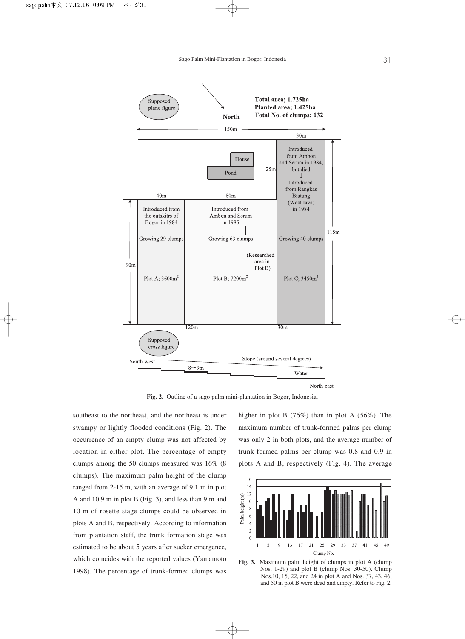

**Fig. 2.** Outline of a sago palm mini-plantation in Bogor, Indonesia.

southeast to the northeast, and the northeast is under swampy or lightly flooded conditions (Fig. 2). The occurrence of an empty clump was not affected by location in either plot. The percentage of empty clumps among the 50 clumps measured was 16% (8 clumps). The maximum palm height of the clump ranged from 2-15 m, with an average of 9.1 m in plot A and 10.9 m in plot B (Fig. 3), and less than 9 m and 10 m of rosette stage clumps could be observed in plots A and B, respectively. According to information from plantation staff, the trunk formation stage was estimated to be about 5 years after sucker emergence, which coincides with the reported values (Yamamoto 1998). The percentage of trunk-formed clumps was

higher in plot B (76%) than in plot A (56%). The maximum number of trunk-formed palms per clump was only 2 in both plots, and the average number of trunk-formed palms per clump was 0.8 and 0.9 in plots A and B, respectively (Fig. 4). The average



**Fig. 3.** Maximum palm height of clumps in plot A (clump Nos. 1-29) and plot B (clump Nos. 30-50). Clump Nos.10, 15, 22, and 24 in plot A and Nos. 37, 43, 46, and 50 in plot B were dead and empty. Refer to Fig. 2.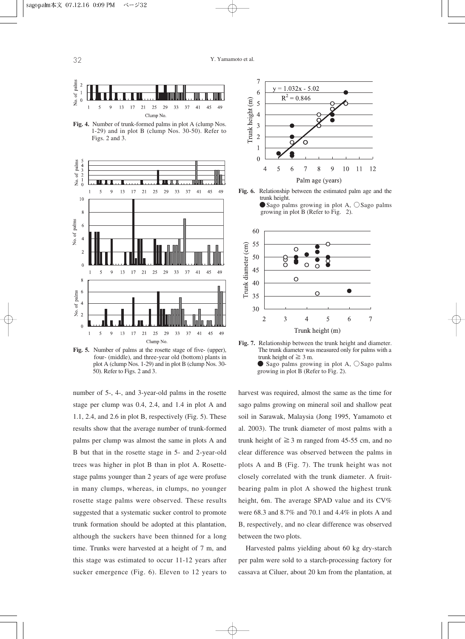

**Fig. 4.** Number of trunk-formed palms in plot A (clump Nos. 1-29) and in plot B (clump Nos. 30-50). Refer to Figs. 2 and 3.



**Fig. 5.** Number of palms at the rosette stage of five- (upper), four- (middle), and three-year old (bottom) plants in plot A (clump Nos. 1-29) and in plot B (clump Nos. 30- 50). Refer to Figs. 2 and 3.

number of 5-, 4-, and 3-year-old palms in the rosette stage per clump was 0.4, 2.4, and 1.4 in plot A and 1.1, 2.4, and 2.6 in plot B, respectively (Fig. 5). These results show that the average number of trunk-formed palms per clump was almost the same in plots A and B but that in the rosette stage in 5- and 2-year-old trees was higher in plot B than in plot A. Rosettestage palms younger than 2 years of age were profuse in many clumps, whereas, in clumps, no younger rosette stage palms were observed. These results suggested that a systematic sucker control to promote trunk formation should be adopted at this plantation, although the suckers have been thinned for a long time. Trunks were harvested at a height of 7 m, and this stage was estimated to occur 11-12 years after sucker emergence (Fig. 6). Eleven to 12 years to



**Fig. 6.** Relationship between the estimated palm age and the trunk height.  $\bullet$  Sago palms growing in plot A,  $\circ$  Sago palms growing in plot B (Refer to Fig. 2).





harvest was required, almost the same as the time for sago palms growing on mineral soil and shallow peat soil in Sarawak, Malaysia (Jong 1995, Yamamoto et al. 2003). The trunk diameter of most palms with a trunk height of  $\geq$  3 m ranged from 45-55 cm, and no clear difference was observed between the palms in plots A and B (Fig. 7). The trunk height was not closely correlated with the trunk diameter. A fruitbearing palm in plot A showed the highest trunk height, 6m. The average SPAD value and its CV% were 68.3 and 8.7% and 70.1 and 4.4% in plots A and B, respectively, and no clear difference was observed between the two plots.

Harvested palms yielding about 60 kg dry-starch per palm were sold to a starch-processing factory for cassava at Ciluer, about 20 km from the plantation, at